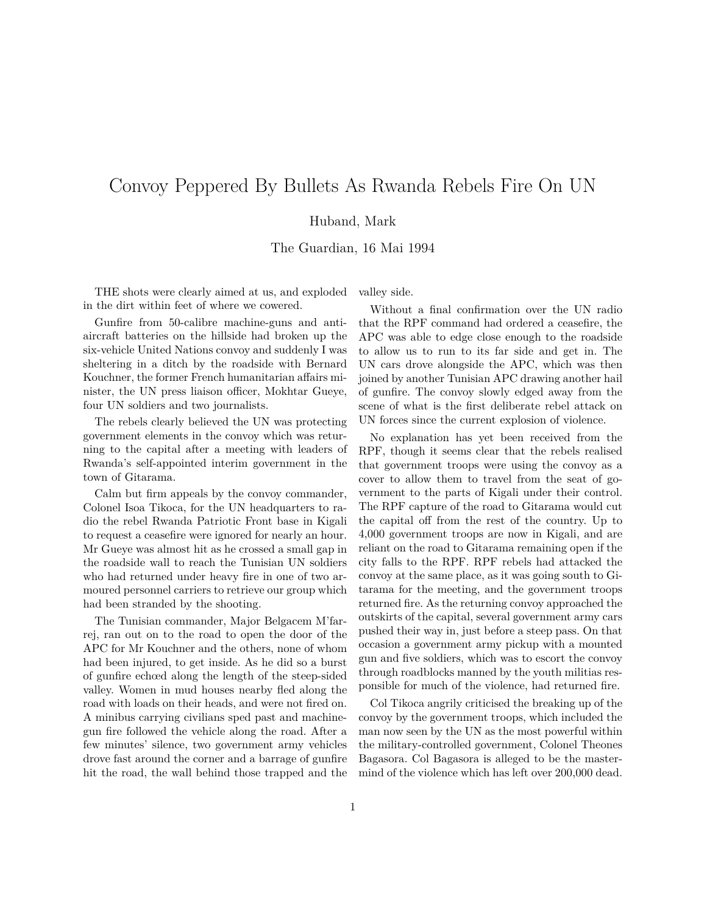## Convoy Peppered By Bullets As Rwanda Rebels Fire On UN

## Huband, Mark

The Guardian, 16 Mai 1994

THE shots were clearly aimed at us, and exploded in the dirt within feet of where we cowered.

Gunfire from 50-calibre machine-guns and antiaircraft batteries on the hillside had broken up the six-vehicle United Nations convoy and suddenly I was sheltering in a ditch by the roadside with Bernard Kouchner, the former French humanitarian affairs minister, the UN press liaison officer, Mokhtar Gueye, four UN soldiers and two journalists.

The rebels clearly believed the UN was protecting government elements in the convoy which was returning to the capital after a meeting with leaders of Rwanda's self-appointed interim government in the town of Gitarama.

Calm but firm appeals by the convoy commander, Colonel Isoa Tikoca, for the UN headquarters to radio the rebel Rwanda Patriotic Front base in Kigali to request a ceasefire were ignored for nearly an hour. Mr Gueye was almost hit as he crossed a small gap in the roadside wall to reach the Tunisian UN soldiers who had returned under heavy fire in one of two armoured personnel carriers to retrieve our group which had been stranded by the shooting.

The Tunisian commander, Major Belgacem M'farrej, ran out on to the road to open the door of the APC for Mr Kouchner and the others, none of whom had been injured, to get inside. As he did so a burst of gunfire echœd along the length of the steep-sided valley. Women in mud houses nearby fled along the road with loads on their heads, and were not fired on. A minibus carrying civilians sped past and machinegun fire followed the vehicle along the road. After a few minutes' silence, two government army vehicles drove fast around the corner and a barrage of gunfire hit the road, the wall behind those trapped and the valley side.

Without a final confirmation over the UN radio that the RPF command had ordered a ceasefire, the APC was able to edge close enough to the roadside to allow us to run to its far side and get in. The UN cars drove alongside the APC, which was then joined by another Tunisian APC drawing another hail of gunfire. The convoy slowly edged away from the scene of what is the first deliberate rebel attack on UN forces since the current explosion of violence.

No explanation has yet been received from the RPF, though it seems clear that the rebels realised that government troops were using the convoy as a cover to allow them to travel from the seat of government to the parts of Kigali under their control. The RPF capture of the road to Gitarama would cut the capital off from the rest of the country. Up to 4,000 government troops are now in Kigali, and are reliant on the road to Gitarama remaining open if the city falls to the RPF. RPF rebels had attacked the convoy at the same place, as it was going south to Gitarama for the meeting, and the government troops returned fire. As the returning convoy approached the outskirts of the capital, several government army cars pushed their way in, just before a steep pass. On that occasion a government army pickup with a mounted gun and five soldiers, which was to escort the convoy through roadblocks manned by the youth militias responsible for much of the violence, had returned fire.

Col Tikoca angrily criticised the breaking up of the convoy by the government troops, which included the man now seen by the UN as the most powerful within the military-controlled government, Colonel Theones Bagasora. Col Bagasora is alleged to be the mastermind of the violence which has left over 200,000 dead.